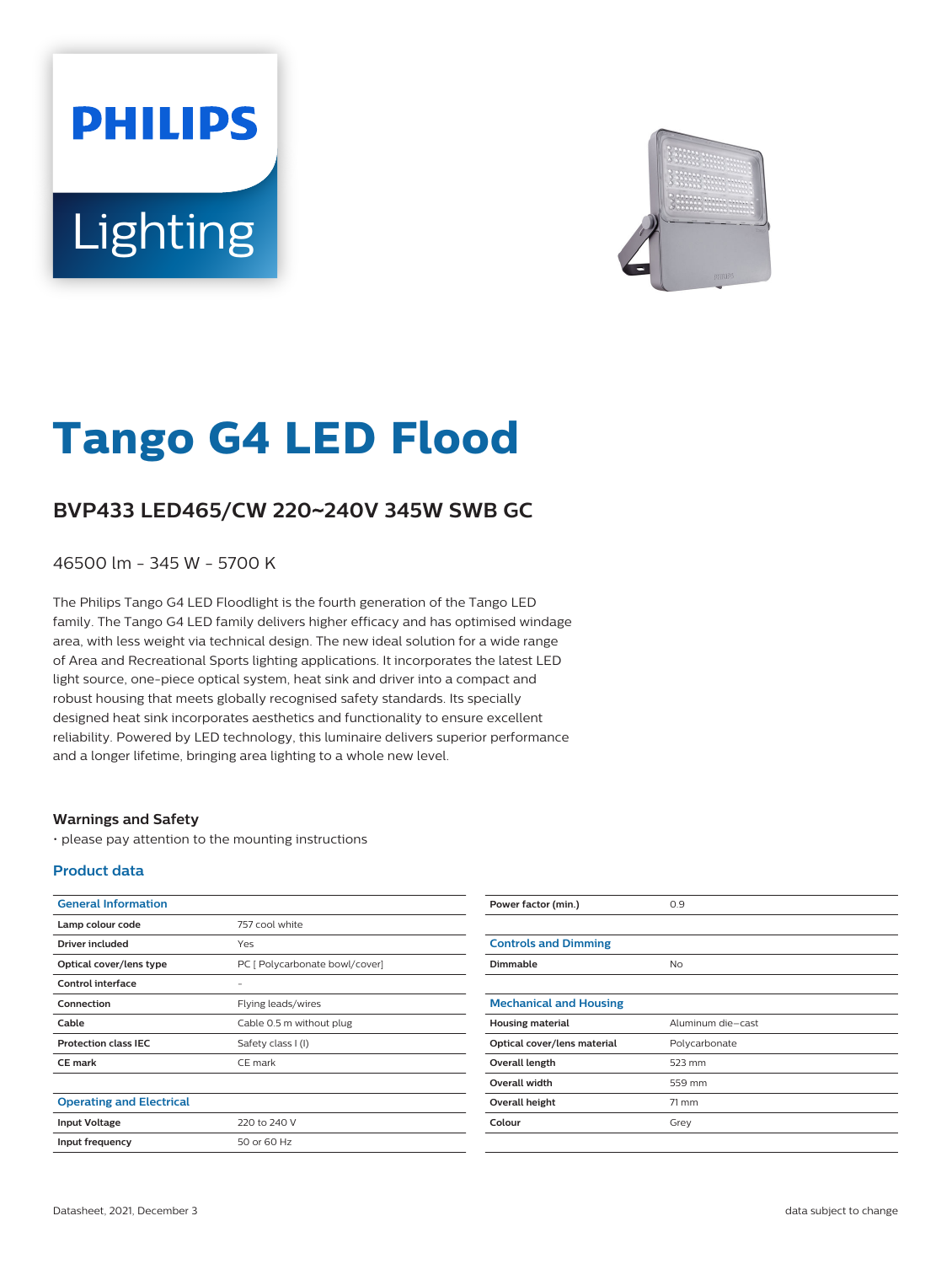# **PHILIPS** Lighting



# **Tango G4 LED Flood**

## **BVP433 LED465/CW 220**~**240V 345W SWB GC**

46500 lm - 345 W - 5700 K

The Philips Tango G4 LED Floodlight is the fourth generation of the Tango LED family. The Tango G4 LED family delivers higher efficacy and has optimised windage area, with less weight via technical design. The new ideal solution for a wide range of Area and Recreational Sports lighting applications. It incorporates the latest LED light source, one-piece optical system, heat sink and driver into a compact and robust housing that meets globally recognised safety standards. Its specially designed heat sink incorporates aesthetics and functionality to ensure excellent reliability. Powered by LED technology, this luminaire delivers superior performance and a longer lifetime, bringing area lighting to a whole new level.

#### **Warnings and Safety**

• please pay attention to the mounting instructions

#### **Product data**

| <b>General Information</b>      |                                | Power factor (min.)           | 0.9               |
|---------------------------------|--------------------------------|-------------------------------|-------------------|
| Lamp colour code                | 757 cool white                 |                               |                   |
| <b>Driver included</b>          | Yes                            | <b>Controls and Dimming</b>   |                   |
| Optical cover/lens type         | PC [ Polycarbonate bowl/cover] | Dimmable                      | <b>No</b>         |
| Control interface               | $\overline{\phantom{0}}$       |                               |                   |
| Connection                      | Flying leads/wires             | <b>Mechanical and Housing</b> |                   |
| Cable                           | Cable 0.5 m without plug       | <b>Housing material</b>       | Aluminum die-cast |
| <b>Protection class IEC</b>     | Safety class I (I)             | Optical cover/lens material   | Polycarbonate     |
| <b>CE mark</b>                  | CE mark                        | Overall length                | 523 mm            |
|                                 |                                | Overall width                 | 559 mm            |
| <b>Operating and Electrical</b> |                                | Overall height                | $71$ mm           |
| <b>Input Voltage</b>            | 220 to 240 V                   | Colour                        | Grey              |
| Input frequency                 | 50 or 60 Hz                    |                               |                   |
|                                 |                                |                               |                   |